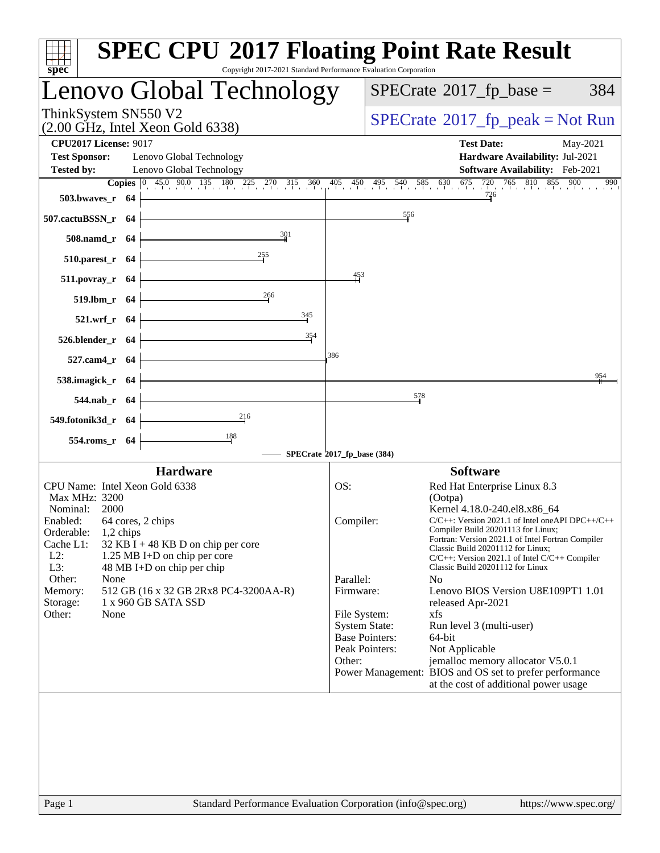| spec <sup>®</sup>                                                                                                                                                                                           | <b>SPEC CPU®2017 Floating Point Rate Result</b><br>Copyright 2017-2021 Standard Performance Evaluation Corporation                                                                                                                                                                                                |
|-------------------------------------------------------------------------------------------------------------------------------------------------------------------------------------------------------------|-------------------------------------------------------------------------------------------------------------------------------------------------------------------------------------------------------------------------------------------------------------------------------------------------------------------|
| Lenovo Global Technology                                                                                                                                                                                    | $SPECrate^{\circ}2017$ _fp_base =<br>384                                                                                                                                                                                                                                                                          |
| ThinkSystem SN550 V2<br>$(2.00 \text{ GHz}, \text{Intel Xeon Gold } 6338)$                                                                                                                                  | $SPECrate^{\circ}2017$ [p_peak = Not Run                                                                                                                                                                                                                                                                          |
| <b>CPU2017 License: 9017</b><br><b>Test Sponsor:</b><br>Lenovo Global Technology<br>Lenovo Global Technology<br><b>Tested by:</b>                                                                           | <b>Test Date:</b><br>May-2021<br>Hardware Availability: Jul-2021<br>Software Availability: Feb-2021                                                                                                                                                                                                               |
|                                                                                                                                                                                                             | <b>Copies</b> $\begin{bmatrix} 0 & 45 & 90 & 135 & 180 & 225 & 270 & 315 & 360 & 405 & 450 & 495 & 540 & 585 & 630 & 675 & 720 & 765 & 810 & 855 & 650 & 675 & 720 & 765 & 810 & 855 & 810 & 855 & 810 & 855 & 810 & 855 & 810 & 855 & 810 & 855 & 810 & 855 & 810 & 855 & 810 & 855 &$<br>900<br>990             |
| 503.bwaves_r 64                                                                                                                                                                                             | 726                                                                                                                                                                                                                                                                                                               |
| 507.cactuBSSN_r 64                                                                                                                                                                                          | 556                                                                                                                                                                                                                                                                                                               |
| 301<br>508.namd_r 64                                                                                                                                                                                        |                                                                                                                                                                                                                                                                                                                   |
| 255<br>$510.parest_r$ 64                                                                                                                                                                                    |                                                                                                                                                                                                                                                                                                                   |
| $511. povray_r$ 64                                                                                                                                                                                          | 453                                                                                                                                                                                                                                                                                                               |
| 266<br>519.lbm_r 64                                                                                                                                                                                         |                                                                                                                                                                                                                                                                                                                   |
| $\frac{345}{5}$<br>521.wrf_r 64                                                                                                                                                                             |                                                                                                                                                                                                                                                                                                                   |
| 354<br>526.blender_r 64                                                                                                                                                                                     |                                                                                                                                                                                                                                                                                                                   |
| 527.cam4_r 64                                                                                                                                                                                               | 386                                                                                                                                                                                                                                                                                                               |
| 538.imagick_r 64                                                                                                                                                                                            | 954                                                                                                                                                                                                                                                                                                               |
| 544.nab_r 64                                                                                                                                                                                                | 578                                                                                                                                                                                                                                                                                                               |
| $\frac{216}{1}$<br>549.fotonik3d_r 64                                                                                                                                                                       |                                                                                                                                                                                                                                                                                                                   |
| 554.roms_r 64                                                                                                                                                                                               |                                                                                                                                                                                                                                                                                                                   |
|                                                                                                                                                                                                             | SPECrate®2017_fp_base (384)                                                                                                                                                                                                                                                                                       |
| <b>Hardware</b>                                                                                                                                                                                             | <b>Software</b>                                                                                                                                                                                                                                                                                                   |
| CPU Name: Intel Xeon Gold 6338<br>Max MHz: 3200                                                                                                                                                             | Red Hat Enterprise Linux 8.3<br>OS:<br>(Ootpa)                                                                                                                                                                                                                                                                    |
| Nominal:<br>2000<br>Enabled: 64 cores, 2 chips<br>Orderable:<br>1,2 chips<br>Cache L1:<br>32 KB I + 48 KB D on chip per core<br>$L2$ :<br>1.25 MB I+D on chip per core<br>L3:<br>48 MB I+D on chip per chip | Kernel 4.18.0-240.el8.x86 64<br>Compiler:<br>C/C++: Version 2021.1 of Intel oneAPI DPC++/C+-<br>Compiler Build 20201113 for Linux;<br>Fortran: Version 2021.1 of Intel Fortran Compiler<br>Classic Build 20201112 for Linux;<br>C/C++: Version 2021.1 of Intel C/C++ Compiler<br>Classic Build 20201112 for Linux |
| Other:<br>None<br>512 GB (16 x 32 GB 2Rx8 PC4-3200AA-R)<br>Memory:                                                                                                                                          | Parallel:<br>N <sub>o</sub><br>Firmware:<br>Lenovo BIOS Version U8E109PT1 1.01                                                                                                                                                                                                                                    |
| 1 x 960 GB SATA SSD<br>Storage:                                                                                                                                                                             | released Apr-2021                                                                                                                                                                                                                                                                                                 |
| Other:<br>None                                                                                                                                                                                              | File System:<br>xfs<br><b>System State:</b><br>Run level 3 (multi-user)<br><b>Base Pointers:</b><br>64-bit<br>Peak Pointers:<br>Not Applicable<br>jemalloc memory allocator V5.0.1<br>Other:<br>Power Management: BIOS and OS set to prefer performance<br>at the cost of additional power usage                  |
| $\mathbf{p}_{\alpha\alpha\alpha}$ 1                                                                                                                                                                         | Standard Performance Evaluation Corporation (info@spec.org)<br>http://www.                                                                                                                                                                                                                                        |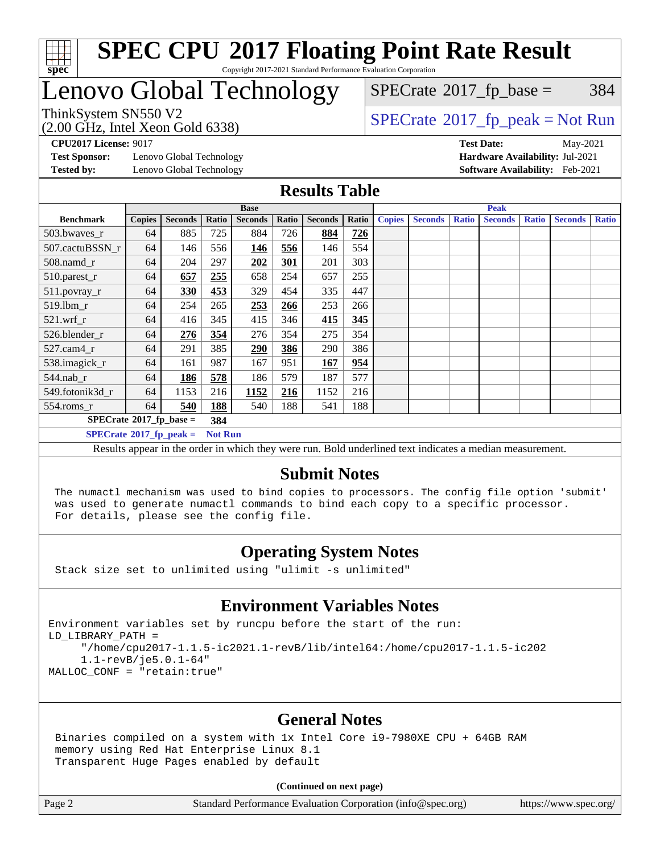

# Lenovo Global Technology

 $SPECTate@2017<sub>fr</sub> base = 384$ 

(2.00 GHz, Intel Xeon Gold 6338)

ThinkSystem SN550 V2<br>  $\begin{array}{c}\n\text{SPECrate} \textcircled{2017\_fp\_peak} = \text{Not Run} \\
\text{SPECrate} \textcircled{2017\_fp\_peak} = \text{Not Run} \\
\end{array}$  $\begin{array}{c}\n\text{SPECrate} \textcircled{2017\_fp\_peak} = \text{Not Run} \\
\text{SPECrate} \textcircled{2017\_fp\_peak} = \text{Not Run} \\
\end{array}$  $\begin{array}{c}\n\text{SPECrate} \textcircled{2017\_fp\_peak} = \text{Not Run} \\
\text{SPECrate} \textcircled{2017\_fp\_peak} = \text{Not Run} \\
\end{array}$ 

**[Test Sponsor:](http://www.spec.org/auto/cpu2017/Docs/result-fields.html#TestSponsor)** Lenovo Global Technology **[Hardware Availability:](http://www.spec.org/auto/cpu2017/Docs/result-fields.html#HardwareAvailability)** Jul-2021 **[Tested by:](http://www.spec.org/auto/cpu2017/Docs/result-fields.html#Testedby)** Lenovo Global Technology **[Software Availability:](http://www.spec.org/auto/cpu2017/Docs/result-fields.html#SoftwareAvailability)** Feb-2021

**[CPU2017 License:](http://www.spec.org/auto/cpu2017/Docs/result-fields.html#CPU2017License)** 9017 **[Test Date:](http://www.spec.org/auto/cpu2017/Docs/result-fields.html#TestDate)** May-2021

### **[Results Table](http://www.spec.org/auto/cpu2017/Docs/result-fields.html#ResultsTable)**

|                                           | <b>Base</b>   |                |                |                |       | <b>Peak</b>    |       |               |                |              |                |              |                |              |
|-------------------------------------------|---------------|----------------|----------------|----------------|-------|----------------|-------|---------------|----------------|--------------|----------------|--------------|----------------|--------------|
| <b>Benchmark</b>                          | <b>Copies</b> | <b>Seconds</b> | Ratio          | <b>Seconds</b> | Ratio | <b>Seconds</b> | Ratio | <b>Copies</b> | <b>Seconds</b> | <b>Ratio</b> | <b>Seconds</b> | <b>Ratio</b> | <b>Seconds</b> | <b>Ratio</b> |
| 503.bwaves_r                              | 64            | 885            | 725            | 884            | 726   | 884            | 726   |               |                |              |                |              |                |              |
| 507.cactuBSSN r                           | 64            | 146            | 556            | 146            | 556   | 146            | 554   |               |                |              |                |              |                |              |
| $508$ .namd $r$                           | 64            | 204            | 297            | 202            | 301   | 201            | 303   |               |                |              |                |              |                |              |
| 510.parest_r                              | 64            | 657            | 255            | 658            | 254   | 657            | 255   |               |                |              |                |              |                |              |
| 511.povray_r                              | 64            | 330            | 453            | 329            | 454   | 335            | 447   |               |                |              |                |              |                |              |
| 519.lbm r                                 | 64            | 254            | 265            | 253            | 266   | 253            | 266   |               |                |              |                |              |                |              |
| $521$ .wrf r                              | 64            | 416            | 345            | 415            | 346   | 415            | 345   |               |                |              |                |              |                |              |
| 526.blender r                             | 64            | 276            | 354            | 276            | 354   | 275            | 354   |               |                |              |                |              |                |              |
| $527.cam4_r$                              | 64            | 291            | 385            | 290            | 386   | 290            | 386   |               |                |              |                |              |                |              |
| 538.imagick_r                             | 64            | 161            | 987            | 167            | 951   | 167            | 954   |               |                |              |                |              |                |              |
| $544$ .nab r                              | 64            | <u>186</u>     | 578            | 186            | 579   | 187            | 577   |               |                |              |                |              |                |              |
| 549.fotonik3d r                           | 64            | 1153           | 216            | 1152           | 216   | 1152           | 216   |               |                |              |                |              |                |              |
| $554$ .roms_r                             | 64            | 540            | 188            | 540            | 188   | 541            | 188   |               |                |              |                |              |                |              |
| $SPECrate^{\otimes}2017$ fp base =<br>384 |               |                |                |                |       |                |       |               |                |              |                |              |                |              |
| $SPECrate^*2017_fp\_peak =$               |               |                | <b>Not Run</b> |                |       |                |       |               |                |              |                |              |                |              |

Results appear in the [order in which they were run](http://www.spec.org/auto/cpu2017/Docs/result-fields.html#RunOrder). Bold underlined text [indicates a median measurement](http://www.spec.org/auto/cpu2017/Docs/result-fields.html#Median).

### **[Submit Notes](http://www.spec.org/auto/cpu2017/Docs/result-fields.html#SubmitNotes)**

 The numactl mechanism was used to bind copies to processors. The config file option 'submit' was used to generate numactl commands to bind each copy to a specific processor. For details, please see the config file.

### **[Operating System Notes](http://www.spec.org/auto/cpu2017/Docs/result-fields.html#OperatingSystemNotes)**

Stack size set to unlimited using "ulimit -s unlimited"

### **[Environment Variables Notes](http://www.spec.org/auto/cpu2017/Docs/result-fields.html#EnvironmentVariablesNotes)**

```
Environment variables set by runcpu before the start of the run:
LD_LIBRARY_PATH =
      "/home/cpu2017-1.1.5-ic2021.1-revB/lib/intel64:/home/cpu2017-1.1.5-ic202
      1.1-revB/je5.0.1-64"
MALLOC_CONF = "retain:true"
```
### **[General Notes](http://www.spec.org/auto/cpu2017/Docs/result-fields.html#GeneralNotes)**

 Binaries compiled on a system with 1x Intel Core i9-7980XE CPU + 64GB RAM memory using Red Hat Enterprise Linux 8.1 Transparent Huge Pages enabled by default

#### **(Continued on next page)**

Page 2 Standard Performance Evaluation Corporation [\(info@spec.org\)](mailto:info@spec.org) <https://www.spec.org/>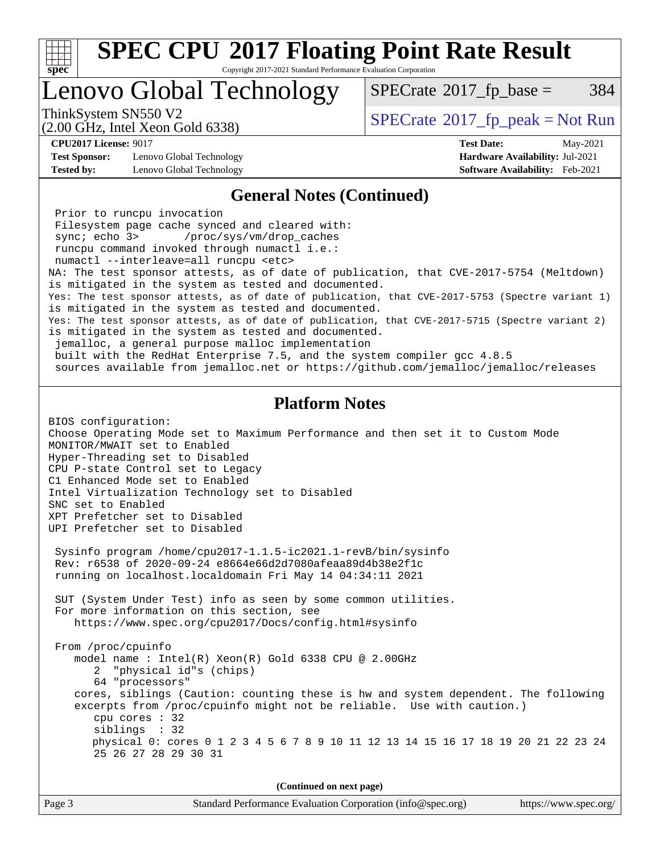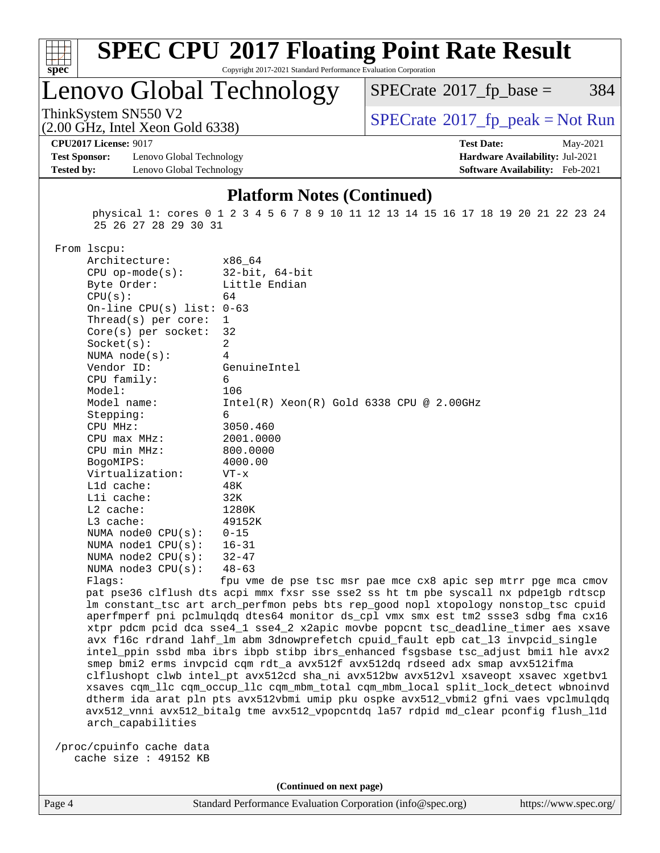

# **[SPEC CPU](http://www.spec.org/auto/cpu2017/Docs/result-fields.html#SPECCPU2017FloatingPointRateResult)[2017 Floating Point Rate Result](http://www.spec.org/auto/cpu2017/Docs/result-fields.html#SPECCPU2017FloatingPointRateResult)**

Copyright 2017-2021 Standard Performance Evaluation Corporation

Lenovo Global Technology

 $SPECTate@2017<sub>fr</sub> base = 384$ 

(2.00 GHz, Intel Xeon Gold 6338)

ThinkSystem SN550 V2<br>  $\begin{array}{c}\n\text{SPECrate} \textcirc 2017\_fp\_peak = Not Run \\
\text{SPECrate} \textcirc 2017\_fp\_peak = Not Run\n\end{array}$  $\begin{array}{c}\n\text{SPECrate} \textcirc 2017\_fp\_peak = Not Run \\
\text{SPECrate} \textcirc 2017\_fp\_peak = Not Run\n\end{array}$  $\begin{array}{c}\n\text{SPECrate} \textcirc 2017\_fp\_peak = Not Run \\
\text{SPECrate} \textcirc 2017\_fp\_peak = Not Run\n\end{array}$ 

**[CPU2017 License:](http://www.spec.org/auto/cpu2017/Docs/result-fields.html#CPU2017License)** 9017 **[Test Date:](http://www.spec.org/auto/cpu2017/Docs/result-fields.html#TestDate)** May-2021

**[Test Sponsor:](http://www.spec.org/auto/cpu2017/Docs/result-fields.html#TestSponsor)** Lenovo Global Technology **[Hardware Availability:](http://www.spec.org/auto/cpu2017/Docs/result-fields.html#HardwareAvailability)** Jul-2021 **[Tested by:](http://www.spec.org/auto/cpu2017/Docs/result-fields.html#Testedby)** Lenovo Global Technology **[Software Availability:](http://www.spec.org/auto/cpu2017/Docs/result-fields.html#SoftwareAvailability)** Feb-2021

#### **[Platform Notes \(Continued\)](http://www.spec.org/auto/cpu2017/Docs/result-fields.html#PlatformNotes)**

 physical 1: cores 0 1 2 3 4 5 6 7 8 9 10 11 12 13 14 15 16 17 18 19 20 21 22 23 24 25 26 27 28 29 30 31

From lscpu:

|  | riom techa.                 |                                               |
|--|-----------------------------|-----------------------------------------------|
|  | Architecture:               | x86 64                                        |
|  | $CPU$ op-mode( $s$ ):       | 32-bit, 64-bit                                |
|  | Byte Order:                 | Little Endian                                 |
|  | CPU(s):                     | 64                                            |
|  | On-line CPU(s) list: $0-63$ |                                               |
|  | Thread(s) per core: $1$     |                                               |
|  | $Core(s)$ per socket: 32    |                                               |
|  | Socket(s):                  | 2                                             |
|  | NUMA node(s):               | $\overline{4}$                                |
|  | Vendor ID:                  | GenuineIntel                                  |
|  | CPU family:                 | 6                                             |
|  | Model:                      | 106                                           |
|  | Model name:                 | $Intel(R)$ Xeon $(R)$ Gold 6338 CPU @ 2.00GHz |
|  | Stepping:                   | 6                                             |
|  | $CPU$ $MHz:$                | 3050.460                                      |
|  | $CPU$ $max$ $MHz$ :         | 2001.0000                                     |
|  | CPU min MHz:                | 800.0000                                      |
|  | BogoMIPS:                   | 4000.00                                       |
|  | Virtualization:             | $VT - x$                                      |
|  | $L1d$ cache:                | 48K                                           |
|  | Lli cache:                  | 32K                                           |
|  | $L2$ cache:                 | 1280K                                         |
|  | $L3$ cache:                 | 49152K                                        |
|  | NUMA node0 $CPU(s): 0-15$   |                                               |
|  | NUMA nodel $CPU(s): 16-31$  |                                               |
|  | NUMA node2 $CPU(s):$ 32-47  |                                               |
|  | NUMA node3 $CPU(s):$ 48-63  |                                               |
|  | Flacs:                      | fou yme de pse tsc msr pae mce cx8 apic sep m |

tsc msr pae mce cx8 apic sep mtrr pge mca cmov pat pse36 clflush dts acpi mmx fxsr sse sse2 ss ht tm pbe syscall nx pdpe1gb rdtscp lm constant\_tsc art arch\_perfmon pebs bts rep\_good nopl xtopology nonstop\_tsc cpuid aperfmperf pni pclmulqdq dtes64 monitor ds\_cpl vmx smx est tm2 ssse3 sdbg fma cx16 xtpr pdcm pcid dca sse4\_1 sse4\_2 x2apic movbe popcnt tsc\_deadline\_timer aes xsave avx f16c rdrand lahf\_lm abm 3dnowprefetch cpuid\_fault epb cat\_l3 invpcid\_single intel\_ppin ssbd mba ibrs ibpb stibp ibrs\_enhanced fsgsbase tsc\_adjust bmi1 hle avx2 smep bmi2 erms invpcid cqm rdt\_a avx512f avx512dq rdseed adx smap avx512ifma clflushopt clwb intel\_pt avx512cd sha\_ni avx512bw avx512vl xsaveopt xsavec xgetbv1 xsaves cqm\_llc cqm\_occup\_llc cqm\_mbm\_total cqm\_mbm\_local split\_lock\_detect wbnoinvd dtherm ida arat pln pts avx512vbmi umip pku ospke avx512\_vbmi2 gfni vaes vpclmulqdq avx512\_vnni avx512\_bitalg tme avx512\_vpopcntdq la57 rdpid md\_clear pconfig flush\_l1d arch\_capabilities

 /proc/cpuinfo cache data cache size : 49152 KB

**(Continued on next page)**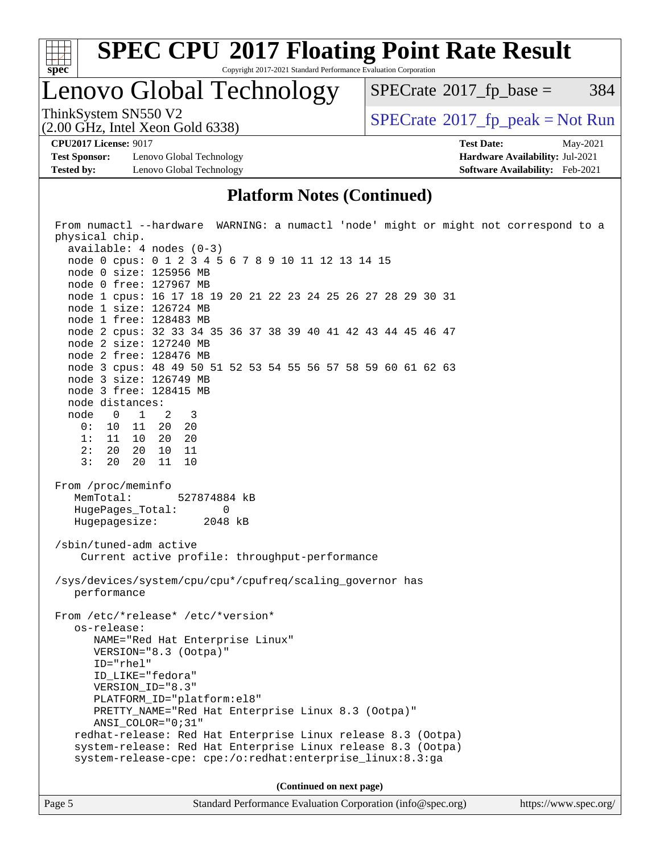

# **[SPEC CPU](http://www.spec.org/auto/cpu2017/Docs/result-fields.html#SPECCPU2017FloatingPointRateResult)[2017 Floating Point Rate Result](http://www.spec.org/auto/cpu2017/Docs/result-fields.html#SPECCPU2017FloatingPointRateResult)**

Copyright 2017-2021 Standard Performance Evaluation Corporation

Lenovo Global Technology

 $SPECTate$ <sup>®</sup>[2017\\_fp\\_base =](http://www.spec.org/auto/cpu2017/Docs/result-fields.html#SPECrate2017fpbase) 384

(2.00 GHz, Intel Xeon Gold 6338)

ThinkSystem SN550 V2<br>  $(2.00 \text{ GHz})$  Intel Xeon Gold 6338)

**[Test Sponsor:](http://www.spec.org/auto/cpu2017/Docs/result-fields.html#TestSponsor)** Lenovo Global Technology **[Hardware Availability:](http://www.spec.org/auto/cpu2017/Docs/result-fields.html#HardwareAvailability)** Jul-2021 **[Tested by:](http://www.spec.org/auto/cpu2017/Docs/result-fields.html#Testedby)** Lenovo Global Technology **[Software Availability:](http://www.spec.org/auto/cpu2017/Docs/result-fields.html#SoftwareAvailability)** Feb-2021

**[CPU2017 License:](http://www.spec.org/auto/cpu2017/Docs/result-fields.html#CPU2017License)** 9017 **[Test Date:](http://www.spec.org/auto/cpu2017/Docs/result-fields.html#TestDate)** May-2021

### **[Platform Notes \(Continued\)](http://www.spec.org/auto/cpu2017/Docs/result-fields.html#PlatformNotes)**

| From numactl --hardware WARNING: a numactl 'node' might or might not correspond to a                                      |  |  |  |  |  |  |
|---------------------------------------------------------------------------------------------------------------------------|--|--|--|--|--|--|
| physical chip.                                                                                                            |  |  |  |  |  |  |
| $available: 4 nodes (0-3)$                                                                                                |  |  |  |  |  |  |
| node 0 cpus: 0 1 2 3 4 5 6 7 8 9 10 11 12 13 14 15<br>node 0 size: 125956 MB                                              |  |  |  |  |  |  |
| node 0 free: 127967 MB                                                                                                    |  |  |  |  |  |  |
| node 1 cpus: 16 17 18 19 20 21 22 23 24 25 26 27 28 29 30 31                                                              |  |  |  |  |  |  |
| node 1 size: 126724 MB                                                                                                    |  |  |  |  |  |  |
| node 1 free: 128483 MB                                                                                                    |  |  |  |  |  |  |
| node 2 cpus: 32 33 34 35 36 37 38 39 40 41 42 43 44 45 46 47                                                              |  |  |  |  |  |  |
| node 2 size: 127240 MB                                                                                                    |  |  |  |  |  |  |
| node 2 free: 128476 MB                                                                                                    |  |  |  |  |  |  |
| node 3 cpus: 48 49 50 51 52 53 54 55 56 57 58 59 60 61 62 63                                                              |  |  |  |  |  |  |
| node 3 size: 126749 MB                                                                                                    |  |  |  |  |  |  |
| node 3 free: 128415 MB                                                                                                    |  |  |  |  |  |  |
| node distances:                                                                                                           |  |  |  |  |  |  |
| node 0 1 2 3                                                                                                              |  |  |  |  |  |  |
| 0: 10 11 20 20                                                                                                            |  |  |  |  |  |  |
| 1: 11 10 20 20                                                                                                            |  |  |  |  |  |  |
| 2: 20 20 10 11                                                                                                            |  |  |  |  |  |  |
| 3: 20 20 11 10                                                                                                            |  |  |  |  |  |  |
| From /proc/meminfo                                                                                                        |  |  |  |  |  |  |
| MemTotal:<br>527874884 kB                                                                                                 |  |  |  |  |  |  |
| HugePages_Total:<br>0                                                                                                     |  |  |  |  |  |  |
| Hugepagesize: 2048 kB                                                                                                     |  |  |  |  |  |  |
|                                                                                                                           |  |  |  |  |  |  |
| /sbin/tuned-adm active                                                                                                    |  |  |  |  |  |  |
| Current active profile: throughput-performance                                                                            |  |  |  |  |  |  |
|                                                                                                                           |  |  |  |  |  |  |
| /sys/devices/system/cpu/cpu*/cpufreq/scaling_governor has                                                                 |  |  |  |  |  |  |
| performance                                                                                                               |  |  |  |  |  |  |
| From /etc/*release* /etc/*version*                                                                                        |  |  |  |  |  |  |
| os-release:                                                                                                               |  |  |  |  |  |  |
| NAME="Red Hat Enterprise Linux"                                                                                           |  |  |  |  |  |  |
| VERSION="8.3 (Ootpa)"                                                                                                     |  |  |  |  |  |  |
| ID="rhel"                                                                                                                 |  |  |  |  |  |  |
| ID_LIKE="fedora"                                                                                                          |  |  |  |  |  |  |
| VERSION_ID="8.3"                                                                                                          |  |  |  |  |  |  |
| PLATFORM_ID="platform:el8"                                                                                                |  |  |  |  |  |  |
| PRETTY_NAME="Red Hat Enterprise Linux 8.3 (Ootpa)"                                                                        |  |  |  |  |  |  |
| ANSI COLOR="0;31"                                                                                                         |  |  |  |  |  |  |
| redhat-release: Red Hat Enterprise Linux release 8.3 (Ootpa)                                                              |  |  |  |  |  |  |
| system-release: Red Hat Enterprise Linux release 8.3 (Ootpa)<br>system-release-cpe: cpe:/o:redhat:enterprise_linux:8.3:ga |  |  |  |  |  |  |
|                                                                                                                           |  |  |  |  |  |  |
| (Continued on next page)                                                                                                  |  |  |  |  |  |  |
|                                                                                                                           |  |  |  |  |  |  |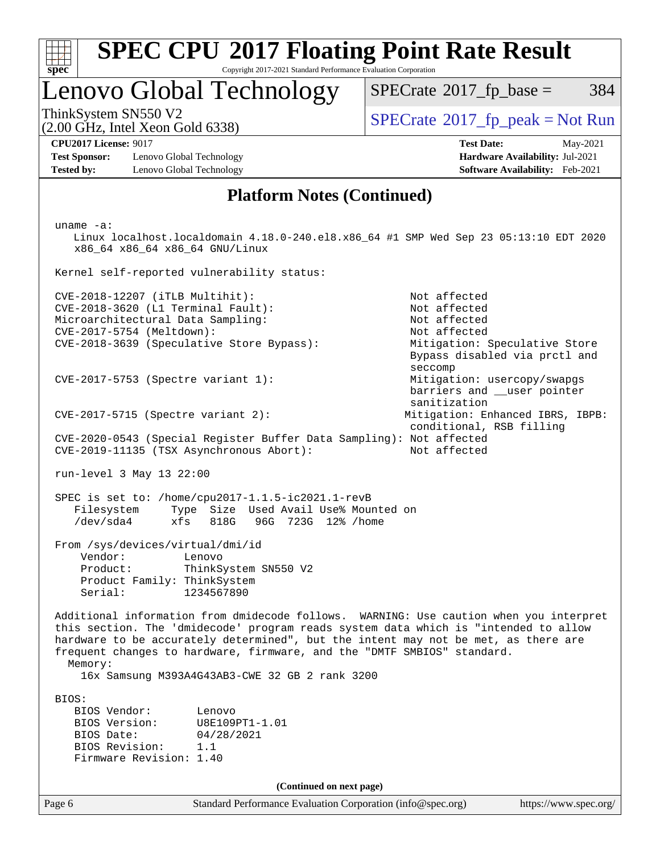| S<br>e<br>U |  |  |  |  |
|-------------|--|--|--|--|

# Lenovo Global Technology

 $SPECTate@2017<sub>fr</sub> base = 384$ 

(2.00 GHz, Intel Xeon Gold 6338)

ThinkSystem SN550 V2<br>  $\begin{array}{c} \text{SPECrate} \textcircled{2017} \text{ fp\_peak} = \text{Not Run} \end{array}$  $\begin{array}{c} \text{SPECrate} \textcircled{2017} \text{ fp\_peak} = \text{Not Run} \end{array}$  $\begin{array}{c} \text{SPECrate} \textcircled{2017} \text{ fp\_peak} = \text{Not Run} \end{array}$ 

**[Test Sponsor:](http://www.spec.org/auto/cpu2017/Docs/result-fields.html#TestSponsor)** Lenovo Global Technology **[Hardware Availability:](http://www.spec.org/auto/cpu2017/Docs/result-fields.html#HardwareAvailability)** Jul-2021 **[Tested by:](http://www.spec.org/auto/cpu2017/Docs/result-fields.html#Testedby)** Lenovo Global Technology **[Software Availability:](http://www.spec.org/auto/cpu2017/Docs/result-fields.html#SoftwareAvailability)** Feb-2021

**[CPU2017 License:](http://www.spec.org/auto/cpu2017/Docs/result-fields.html#CPU2017License)** 9017 **[Test Date:](http://www.spec.org/auto/cpu2017/Docs/result-fields.html#TestDate)** May-2021

### **[Platform Notes \(Continued\)](http://www.spec.org/auto/cpu2017/Docs/result-fields.html#PlatformNotes)**

Page 6 Standard Performance Evaluation Corporation [\(info@spec.org\)](mailto:info@spec.org) <https://www.spec.org/> uname -a: Linux localhost.localdomain 4.18.0-240.el8.x86\_64 #1 SMP Wed Sep 23 05:13:10 EDT 2020 x86\_64 x86\_64 x86\_64 GNU/Linux Kernel self-reported vulnerability status: CVE-2018-12207 (iTLB Multihit): Not affected CVE-2018-3620 (L1 Terminal Fault): Not affected Microarchitectural Data Sampling: Not affected CVE-2017-5754 (Meltdown): Not affected CVE-2018-3639 (Speculative Store Bypass): Mitigation: Speculative Store Bypass disabled via prctl and seccomp CVE-2017-5753 (Spectre variant 1): Mitigation: usercopy/swapgs barriers and \_\_user pointer sanitization CVE-2017-5715 (Spectre variant 2): Mitigation: Enhanced IBRS, IBPB: conditional, RSB filling CVE-2020-0543 (Special Register Buffer Data Sampling): Not affected CVE-2019-11135 (TSX Asynchronous Abort): Not affected run-level 3 May 13 22:00 SPEC is set to: /home/cpu2017-1.1.5-ic2021.1-revB Filesystem Type Size Used Avail Use% Mounted on /dev/sda4 xfs 818G 96G 723G 12% /home From /sys/devices/virtual/dmi/id Vendor: Lenovo Product: ThinkSystem SN550 V2 Product Family: ThinkSystem Serial: 1234567890 Additional information from dmidecode follows. WARNING: Use caution when you interpret this section. The 'dmidecode' program reads system data which is "intended to allow hardware to be accurately determined", but the intent may not be met, as there are frequent changes to hardware, firmware, and the "DMTF SMBIOS" standard. Memory: 16x Samsung M393A4G43AB3-CWE 32 GB 2 rank 3200 BIOS: BIOS Vendor: Lenovo BIOS Version: U8E109PT1-1.01 BIOS Date: 04/28/2021 BIOS Revision: 1.1 Firmware Revision: 1.40 **(Continued on next page)**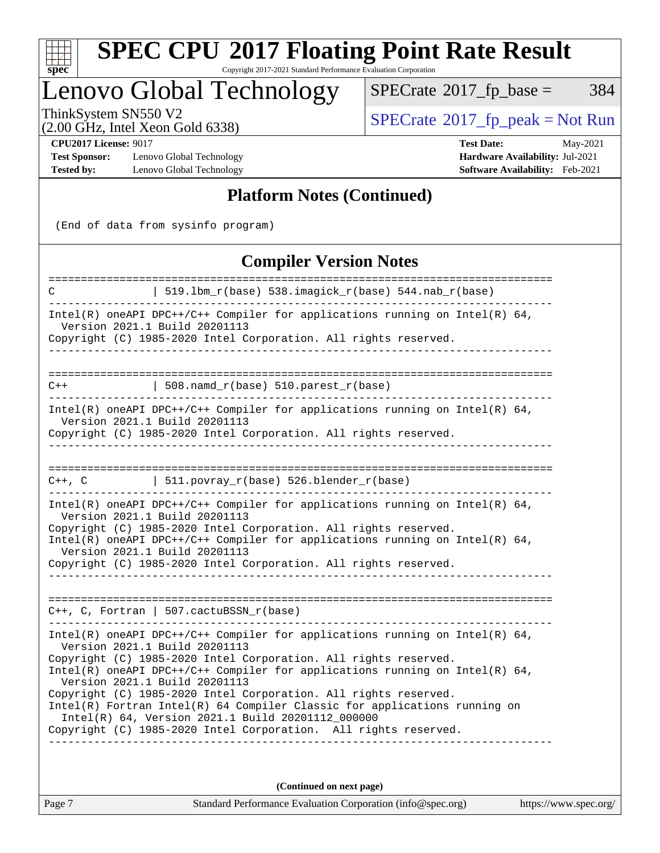

# **[SPEC CPU](http://www.spec.org/auto/cpu2017/Docs/result-fields.html#SPECCPU2017FloatingPointRateResult)[2017 Floating Point Rate Result](http://www.spec.org/auto/cpu2017/Docs/result-fields.html#SPECCPU2017FloatingPointRateResult)**

Copyright 2017-2021 Standard Performance Evaluation Corporation

# Lenovo Global Technology

 $SPECTate@2017_fp\_base = 384$ 

(2.00 GHz, Intel Xeon Gold 6338)

ThinkSystem SN550 V2<br>  $(2.00 \text{ GHz})$  Intel Xeon Gold 6338)

**[Test Sponsor:](http://www.spec.org/auto/cpu2017/Docs/result-fields.html#TestSponsor)** Lenovo Global Technology **[Hardware Availability:](http://www.spec.org/auto/cpu2017/Docs/result-fields.html#HardwareAvailability)** Jul-2021 **[Tested by:](http://www.spec.org/auto/cpu2017/Docs/result-fields.html#Testedby)** Lenovo Global Technology **[Software Availability:](http://www.spec.org/auto/cpu2017/Docs/result-fields.html#SoftwareAvailability)** Feb-2021

**[CPU2017 License:](http://www.spec.org/auto/cpu2017/Docs/result-fields.html#CPU2017License)** 9017 **[Test Date:](http://www.spec.org/auto/cpu2017/Docs/result-fields.html#TestDate)** May-2021

### **[Platform Notes \(Continued\)](http://www.spec.org/auto/cpu2017/Docs/result-fields.html#PlatformNotes)**

(End of data from sysinfo program)

### **[Compiler Version Notes](http://www.spec.org/auto/cpu2017/Docs/result-fields.html#CompilerVersionNotes)**

| С      | 519.1bm_r(base) 538.imagick_r(base) 544.nab_r(base)                                                                                                                                                                                                                                                                                                                                                                                                                                                                                                                        |
|--------|----------------------------------------------------------------------------------------------------------------------------------------------------------------------------------------------------------------------------------------------------------------------------------------------------------------------------------------------------------------------------------------------------------------------------------------------------------------------------------------------------------------------------------------------------------------------------|
|        | Intel(R) oneAPI DPC++/C++ Compiler for applications running on Intel(R) $64$ ,<br>Version 2021.1 Build 20201113<br>Copyright (C) 1985-2020 Intel Corporation. All rights reserved.                                                                                                                                                                                                                                                                                                                                                                                         |
|        |                                                                                                                                                                                                                                                                                                                                                                                                                                                                                                                                                                            |
| $C++$  | 508.namd_r(base) 510.parest_r(base)                                                                                                                                                                                                                                                                                                                                                                                                                                                                                                                                        |
|        | Intel(R) oneAPI DPC++/C++ Compiler for applications running on Intel(R) $64$ ,<br>Version 2021.1 Build 20201113<br>Copyright (C) 1985-2020 Intel Corporation. All rights reserved.                                                                                                                                                                                                                                                                                                                                                                                         |
|        |                                                                                                                                                                                                                                                                                                                                                                                                                                                                                                                                                                            |
| C++, C | $ $ 511.povray_r(base) 526.blender_r(base)                                                                                                                                                                                                                                                                                                                                                                                                                                                                                                                                 |
|        | Intel(R) oneAPI DPC++/C++ Compiler for applications running on Intel(R) $64$ ,<br>Version 2021.1 Build 20201113<br>Copyright (C) 1985-2020 Intel Corporation. All rights reserved.<br>Intel(R) oneAPI DPC++/C++ Compiler for applications running on Intel(R) $64$ ,<br>Version 2021.1 Build 20201113<br>Copyright (C) 1985-2020 Intel Corporation. All rights reserved.                                                                                                                                                                                                   |
|        | C++, C, Fortran   507.cactuBSSN_r(base)                                                                                                                                                                                                                                                                                                                                                                                                                                                                                                                                    |
|        | Intel(R) oneAPI DPC++/C++ Compiler for applications running on Intel(R) $64$ ,<br>Version 2021.1 Build 20201113<br>Copyright (C) 1985-2020 Intel Corporation. All rights reserved.<br>Intel(R) oneAPI DPC++/C++ Compiler for applications running on Intel(R) 64,<br>Version 2021.1 Build 20201113<br>Copyright (C) 1985-2020 Intel Corporation. All rights reserved.<br>Intel(R) Fortran Intel(R) 64 Compiler Classic for applications running on<br>Intel(R) 64, Version 2021.1 Build 20201112_000000<br>Copyright (C) 1985-2020 Intel Corporation. All rights reserved. |
|        |                                                                                                                                                                                                                                                                                                                                                                                                                                                                                                                                                                            |
|        | (Continued on next page)                                                                                                                                                                                                                                                                                                                                                                                                                                                                                                                                                   |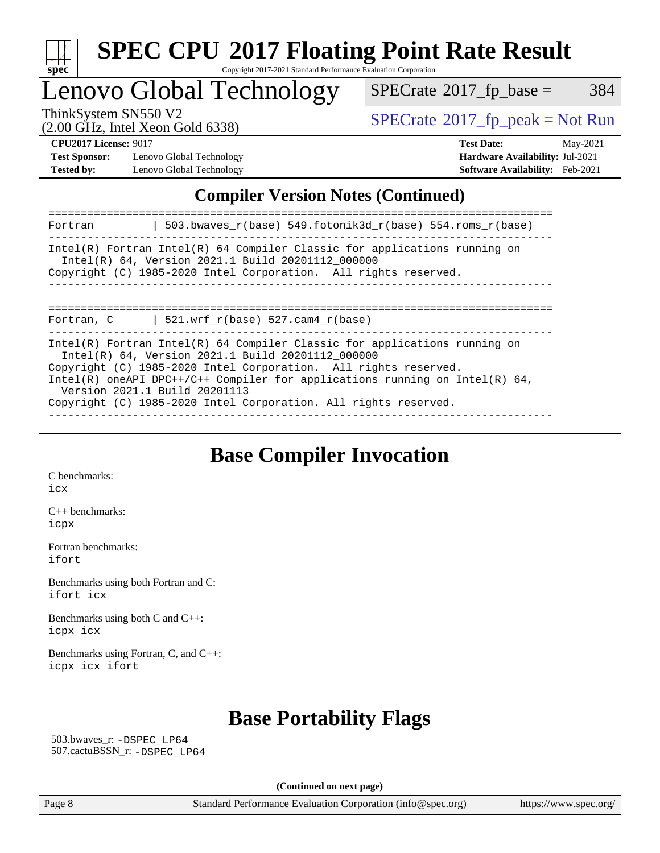

Lenovo Global Technology

 $SPECTate@2017_fp\_base = 384$ 

(2.00 GHz, Intel Xeon Gold 6338)

ThinkSystem SN550 V2<br>  $\begin{array}{c}\n\text{SPECrate} \textcirc 2017\_fp\_peak = Not Run \\
\text{SPECrate} \textcirc 2017\_fp\_peak = Not Run\n\end{array}$  $\begin{array}{c}\n\text{SPECrate} \textcirc 2017\_fp\_peak = Not Run \\
\text{SPECrate} \textcirc 2017\_fp\_peak = Not Run\n\end{array}$  $\begin{array}{c}\n\text{SPECrate} \textcirc 2017\_fp\_peak = Not Run \\
\text{SPECrate} \textcirc 2017\_fp\_peak = Not Run\n\end{array}$ 

**[Test Sponsor:](http://www.spec.org/auto/cpu2017/Docs/result-fields.html#TestSponsor)** Lenovo Global Technology **[Hardware Availability:](http://www.spec.org/auto/cpu2017/Docs/result-fields.html#HardwareAvailability)** Jul-2021 **[Tested by:](http://www.spec.org/auto/cpu2017/Docs/result-fields.html#Testedby)** Lenovo Global Technology **[Software Availability:](http://www.spec.org/auto/cpu2017/Docs/result-fields.html#SoftwareAvailability)** Feb-2021

**[CPU2017 License:](http://www.spec.org/auto/cpu2017/Docs/result-fields.html#CPU2017License)** 9017 **[Test Date:](http://www.spec.org/auto/cpu2017/Docs/result-fields.html#TestDate)** May-2021

### **[Compiler Version Notes \(Continued\)](http://www.spec.org/auto/cpu2017/Docs/result-fields.html#CompilerVersionNotes)**

| 503.bwaves_r(base) 549.fotonik3d_r(base) 554.roms_r(base)<br>Fortran                                                                                                                                                                                                                                                                                                                      |
|-------------------------------------------------------------------------------------------------------------------------------------------------------------------------------------------------------------------------------------------------------------------------------------------------------------------------------------------------------------------------------------------|
| $Intel(R)$ Fortran Intel(R) 64 Compiler Classic for applications running on<br>Intel(R) 64, Version 2021.1 Build 20201112 000000<br>Copyright (C) 1985-2020 Intel Corporation. All rights reserved.                                                                                                                                                                                       |
| 521.wrf $r(base)$ 527.cam4 $r(base)$<br>Fortran, C                                                                                                                                                                                                                                                                                                                                        |
| $Intel(R)$ Fortran Intel(R) 64 Compiler Classic for applications running on<br>Intel(R) 64, Version 2021.1 Build 20201112 000000<br>Copyright (C) 1985-2020 Intel Corporation. All rights reserved.<br>Intel(R) oneAPI DPC++/C++ Compiler for applications running on Intel(R) $64$ ,<br>Version 2021.1 Build 20201113<br>Copyright (C) 1985-2020 Intel Corporation. All rights reserved. |

**[Base Compiler Invocation](http://www.spec.org/auto/cpu2017/Docs/result-fields.html#BaseCompilerInvocation)**

[C benchmarks](http://www.spec.org/auto/cpu2017/Docs/result-fields.html#Cbenchmarks): [icx](http://www.spec.org/cpu2017/results/res2021q2/cpu2017-20210524-26636.flags.html#user_CCbase_intel_icx_fe2d28d19ae2a5db7c42fe0f2a2aed77cb715edd4aeb23434404a8be6683fe239869bb6ca8154ca98265c2e3b9226a719a0efe2953a4a7018c379b7010ccf087)

[C++ benchmarks:](http://www.spec.org/auto/cpu2017/Docs/result-fields.html#CXXbenchmarks) [icpx](http://www.spec.org/cpu2017/results/res2021q2/cpu2017-20210524-26636.flags.html#user_CXXbase_intel_icpx_1e918ed14c436bf4b9b7c8bcdd51d4539fc71b3df010bd1e9f8732d9c34c2b2914e48204a846820f3c0ebb4095dea797a5c30b458ac0b6dffac65d78f781f5ca)

[Fortran benchmarks](http://www.spec.org/auto/cpu2017/Docs/result-fields.html#Fortranbenchmarks): [ifort](http://www.spec.org/cpu2017/results/res2021q2/cpu2017-20210524-26636.flags.html#user_FCbase_intel_ifort_8111460550e3ca792625aed983ce982f94888b8b503583aa7ba2b8303487b4d8a21a13e7191a45c5fd58ff318f48f9492884d4413fa793fd88dd292cad7027ca)

[Benchmarks using both Fortran and C](http://www.spec.org/auto/cpu2017/Docs/result-fields.html#BenchmarksusingbothFortranandC): [ifort](http://www.spec.org/cpu2017/results/res2021q2/cpu2017-20210524-26636.flags.html#user_CC_FCbase_intel_ifort_8111460550e3ca792625aed983ce982f94888b8b503583aa7ba2b8303487b4d8a21a13e7191a45c5fd58ff318f48f9492884d4413fa793fd88dd292cad7027ca) [icx](http://www.spec.org/cpu2017/results/res2021q2/cpu2017-20210524-26636.flags.html#user_CC_FCbase_intel_icx_fe2d28d19ae2a5db7c42fe0f2a2aed77cb715edd4aeb23434404a8be6683fe239869bb6ca8154ca98265c2e3b9226a719a0efe2953a4a7018c379b7010ccf087)

[Benchmarks using both C and C++](http://www.spec.org/auto/cpu2017/Docs/result-fields.html#BenchmarksusingbothCandCXX): [icpx](http://www.spec.org/cpu2017/results/res2021q2/cpu2017-20210524-26636.flags.html#user_CC_CXXbase_intel_icpx_1e918ed14c436bf4b9b7c8bcdd51d4539fc71b3df010bd1e9f8732d9c34c2b2914e48204a846820f3c0ebb4095dea797a5c30b458ac0b6dffac65d78f781f5ca) [icx](http://www.spec.org/cpu2017/results/res2021q2/cpu2017-20210524-26636.flags.html#user_CC_CXXbase_intel_icx_fe2d28d19ae2a5db7c42fe0f2a2aed77cb715edd4aeb23434404a8be6683fe239869bb6ca8154ca98265c2e3b9226a719a0efe2953a4a7018c379b7010ccf087)

[Benchmarks using Fortran, C, and C++:](http://www.spec.org/auto/cpu2017/Docs/result-fields.html#BenchmarksusingFortranCandCXX) [icpx](http://www.spec.org/cpu2017/results/res2021q2/cpu2017-20210524-26636.flags.html#user_CC_CXX_FCbase_intel_icpx_1e918ed14c436bf4b9b7c8bcdd51d4539fc71b3df010bd1e9f8732d9c34c2b2914e48204a846820f3c0ebb4095dea797a5c30b458ac0b6dffac65d78f781f5ca) [icx](http://www.spec.org/cpu2017/results/res2021q2/cpu2017-20210524-26636.flags.html#user_CC_CXX_FCbase_intel_icx_fe2d28d19ae2a5db7c42fe0f2a2aed77cb715edd4aeb23434404a8be6683fe239869bb6ca8154ca98265c2e3b9226a719a0efe2953a4a7018c379b7010ccf087) [ifort](http://www.spec.org/cpu2017/results/res2021q2/cpu2017-20210524-26636.flags.html#user_CC_CXX_FCbase_intel_ifort_8111460550e3ca792625aed983ce982f94888b8b503583aa7ba2b8303487b4d8a21a13e7191a45c5fd58ff318f48f9492884d4413fa793fd88dd292cad7027ca)

### **[Base Portability Flags](http://www.spec.org/auto/cpu2017/Docs/result-fields.html#BasePortabilityFlags)**

 503.bwaves\_r: [-DSPEC\\_LP64](http://www.spec.org/cpu2017/results/res2021q2/cpu2017-20210524-26636.flags.html#suite_basePORTABILITY503_bwaves_r_DSPEC_LP64) 507.cactuBSSN\_r: [-DSPEC\\_LP64](http://www.spec.org/cpu2017/results/res2021q2/cpu2017-20210524-26636.flags.html#suite_basePORTABILITY507_cactuBSSN_r_DSPEC_LP64)

**(Continued on next page)**

Page 8 Standard Performance Evaluation Corporation [\(info@spec.org\)](mailto:info@spec.org) <https://www.spec.org/>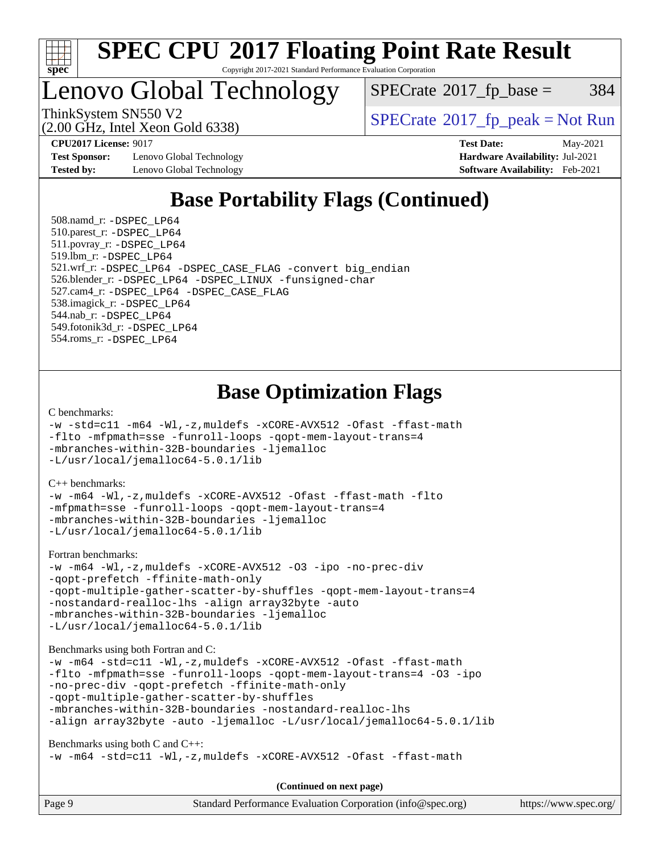

# Lenovo Global Technology

 $SPECTate@2017<sub>fr</sub> base = 384$ 

(2.00 GHz, Intel Xeon Gold 6338)

ThinkSystem SN550 V2<br>  $\begin{array}{c} \text{SPECrate} \textcircled{2017} \text{ fp\_peak} = \text{Not Run} \end{array}$  $\begin{array}{c} \text{SPECrate} \textcircled{2017} \text{ fp\_peak} = \text{Not Run} \end{array}$  $\begin{array}{c} \text{SPECrate} \textcircled{2017} \text{ fp\_peak} = \text{Not Run} \end{array}$ 

**[Test Sponsor:](http://www.spec.org/auto/cpu2017/Docs/result-fields.html#TestSponsor)** Lenovo Global Technology **[Hardware Availability:](http://www.spec.org/auto/cpu2017/Docs/result-fields.html#HardwareAvailability)** Jul-2021 **[Tested by:](http://www.spec.org/auto/cpu2017/Docs/result-fields.html#Testedby)** Lenovo Global Technology **[Software Availability:](http://www.spec.org/auto/cpu2017/Docs/result-fields.html#SoftwareAvailability)** Feb-2021

**[CPU2017 License:](http://www.spec.org/auto/cpu2017/Docs/result-fields.html#CPU2017License)** 9017 **[Test Date:](http://www.spec.org/auto/cpu2017/Docs/result-fields.html#TestDate)** May-2021

# **[Base Portability Flags \(Continued\)](http://www.spec.org/auto/cpu2017/Docs/result-fields.html#BasePortabilityFlags)**

 508.namd\_r: [-DSPEC\\_LP64](http://www.spec.org/cpu2017/results/res2021q2/cpu2017-20210524-26636.flags.html#suite_basePORTABILITY508_namd_r_DSPEC_LP64) 510.parest\_r: [-DSPEC\\_LP64](http://www.spec.org/cpu2017/results/res2021q2/cpu2017-20210524-26636.flags.html#suite_basePORTABILITY510_parest_r_DSPEC_LP64) 511.povray\_r: [-DSPEC\\_LP64](http://www.spec.org/cpu2017/results/res2021q2/cpu2017-20210524-26636.flags.html#suite_basePORTABILITY511_povray_r_DSPEC_LP64) 519.lbm\_r: [-DSPEC\\_LP64](http://www.spec.org/cpu2017/results/res2021q2/cpu2017-20210524-26636.flags.html#suite_basePORTABILITY519_lbm_r_DSPEC_LP64) 521.wrf\_r: [-DSPEC\\_LP64](http://www.spec.org/cpu2017/results/res2021q2/cpu2017-20210524-26636.flags.html#suite_basePORTABILITY521_wrf_r_DSPEC_LP64) [-DSPEC\\_CASE\\_FLAG](http://www.spec.org/cpu2017/results/res2021q2/cpu2017-20210524-26636.flags.html#b521.wrf_r_baseCPORTABILITY_DSPEC_CASE_FLAG) [-convert big\\_endian](http://www.spec.org/cpu2017/results/res2021q2/cpu2017-20210524-26636.flags.html#user_baseFPORTABILITY521_wrf_r_convert_big_endian_c3194028bc08c63ac5d04de18c48ce6d347e4e562e8892b8bdbdc0214820426deb8554edfa529a3fb25a586e65a3d812c835984020483e7e73212c4d31a38223) 526.blender\_r: [-DSPEC\\_LP64](http://www.spec.org/cpu2017/results/res2021q2/cpu2017-20210524-26636.flags.html#suite_basePORTABILITY526_blender_r_DSPEC_LP64) [-DSPEC\\_LINUX](http://www.spec.org/cpu2017/results/res2021q2/cpu2017-20210524-26636.flags.html#b526.blender_r_baseCPORTABILITY_DSPEC_LINUX) [-funsigned-char](http://www.spec.org/cpu2017/results/res2021q2/cpu2017-20210524-26636.flags.html#user_baseCPORTABILITY526_blender_r_force_uchar_40c60f00ab013830e2dd6774aeded3ff59883ba5a1fc5fc14077f794d777847726e2a5858cbc7672e36e1b067e7e5c1d9a74f7176df07886a243d7cc18edfe67) 527.cam4\_r: [-DSPEC\\_LP64](http://www.spec.org/cpu2017/results/res2021q2/cpu2017-20210524-26636.flags.html#suite_basePORTABILITY527_cam4_r_DSPEC_LP64) [-DSPEC\\_CASE\\_FLAG](http://www.spec.org/cpu2017/results/res2021q2/cpu2017-20210524-26636.flags.html#b527.cam4_r_baseCPORTABILITY_DSPEC_CASE_FLAG) 538.imagick\_r: [-DSPEC\\_LP64](http://www.spec.org/cpu2017/results/res2021q2/cpu2017-20210524-26636.flags.html#suite_basePORTABILITY538_imagick_r_DSPEC_LP64) 544.nab\_r: [-DSPEC\\_LP64](http://www.spec.org/cpu2017/results/res2021q2/cpu2017-20210524-26636.flags.html#suite_basePORTABILITY544_nab_r_DSPEC_LP64) 549.fotonik3d\_r: [-DSPEC\\_LP64](http://www.spec.org/cpu2017/results/res2021q2/cpu2017-20210524-26636.flags.html#suite_basePORTABILITY549_fotonik3d_r_DSPEC_LP64) 554.roms\_r: [-DSPEC\\_LP64](http://www.spec.org/cpu2017/results/res2021q2/cpu2017-20210524-26636.flags.html#suite_basePORTABILITY554_roms_r_DSPEC_LP64)

### **[Base Optimization Flags](http://www.spec.org/auto/cpu2017/Docs/result-fields.html#BaseOptimizationFlags)**

[C benchmarks](http://www.spec.org/auto/cpu2017/Docs/result-fields.html#Cbenchmarks):

```
-w -std=c11 -m64 -Wl,-z,muldefs -xCORE-AVX512 -Ofast -ffast-math
-flto -mfpmath=sse -funroll-loops -qopt-mem-layout-trans=4
-mbranches-within-32B-boundaries -ljemalloc
-L/usr/local/jemalloc64-5.0.1/lib
```
[C++ benchmarks:](http://www.spec.org/auto/cpu2017/Docs/result-fields.html#CXXbenchmarks)

```
-w -m64 -Wl,-z,muldefs -xCORE-AVX512 -Ofast -ffast-math -flto
-mfpmath=sse -funroll-loops -qopt-mem-layout-trans=4
-mbranches-within-32B-boundaries -ljemalloc
-L/usr/local/jemalloc64-5.0.1/lib
```
[Fortran benchmarks](http://www.spec.org/auto/cpu2017/Docs/result-fields.html#Fortranbenchmarks):

```
-w -m64 -Wl,-z,muldefs -xCORE-AVX512 -O3 -ipo -no-prec-div
-qopt-prefetch -ffinite-math-only
-qopt-multiple-gather-scatter-by-shuffles -qopt-mem-layout-trans=4
-nostandard-realloc-lhs -align array32byte -auto
-mbranches-within-32B-boundaries -ljemalloc
-L/usr/local/jemalloc64-5.0.1/lib
```
[Benchmarks using both Fortran and C](http://www.spec.org/auto/cpu2017/Docs/result-fields.html#BenchmarksusingbothFortranandC):

```
-w -m64 -std=c11 -Wl,-z,muldefs -xCORE-AVX512 -Ofast -ffast-math
-flto -mfpmath=sse -funroll-loops -qopt-mem-layout-trans=4 -O3 -ipo
-no-prec-div -qopt-prefetch -ffinite-math-only
-qopt-multiple-gather-scatter-by-shuffles
-mbranches-within-32B-boundaries -nostandard-realloc-lhs
-align array32byte -auto -ljemalloc -L/usr/local/jemalloc64-5.0.1/lib
```
[Benchmarks using both C and C++](http://www.spec.org/auto/cpu2017/Docs/result-fields.html#BenchmarksusingbothCandCXX):

```
-w -m64 -std=c11 -Wl,-z,muldefs -xCORE-AVX512 -Ofast -ffast-math
```
**(Continued on next page)**

| Page 9 | Standard Performance Evaluation Corporation (info@spec.org) | https://www.spec.org/ |
|--------|-------------------------------------------------------------|-----------------------|